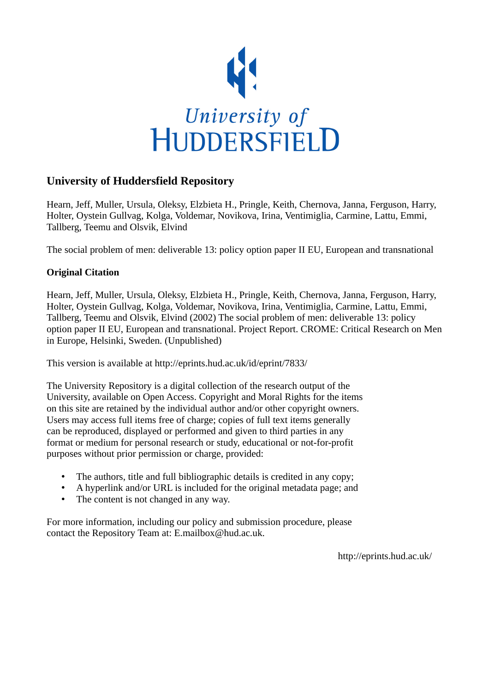

# **University of Huddersfield Repository**

Hearn, Jeff, Muller, Ursula, Oleksy, Elzbieta H., Pringle, Keith, Chernova, Janna, Ferguson, Harry, Holter, Oystein Gullvag, Kolga, Voldemar, Novikova, Irina, Ventimiglia, Carmine, Lattu, Emmi, Tallberg, Teemu and Olsvik, Elvind

The social problem of men: deliverable 13: policy option paper II EU, European and transnational

# **Original Citation**

Hearn, Jeff, Muller, Ursula, Oleksy, Elzbieta H., Pringle, Keith, Chernova, Janna, Ferguson, Harry, Holter, Oystein Gullvag, Kolga, Voldemar, Novikova, Irina, Ventimiglia, Carmine, Lattu, Emmi, Tallberg, Teemu and Olsvik, Elvind (2002) The social problem of men: deliverable 13: policy option paper II EU, European and transnational. Project Report. CROME: Critical Research on Men in Europe, Helsinki, Sweden. (Unpublished)

This version is available at http://eprints.hud.ac.uk/id/eprint/7833/

The University Repository is a digital collection of the research output of the University, available on Open Access. Copyright and Moral Rights for the items on this site are retained by the individual author and/or other copyright owners. Users may access full items free of charge; copies of full text items generally can be reproduced, displayed or performed and given to third parties in any format or medium for personal research or study, educational or not-for-profit purposes without prior permission or charge, provided:

- The authors, title and full bibliographic details is credited in any copy;
- A hyperlink and/or URL is included for the original metadata page; and
- The content is not changed in any way.

For more information, including our policy and submission procedure, please contact the Repository Team at: E.mailbox@hud.ac.uk.

http://eprints.hud.ac.uk/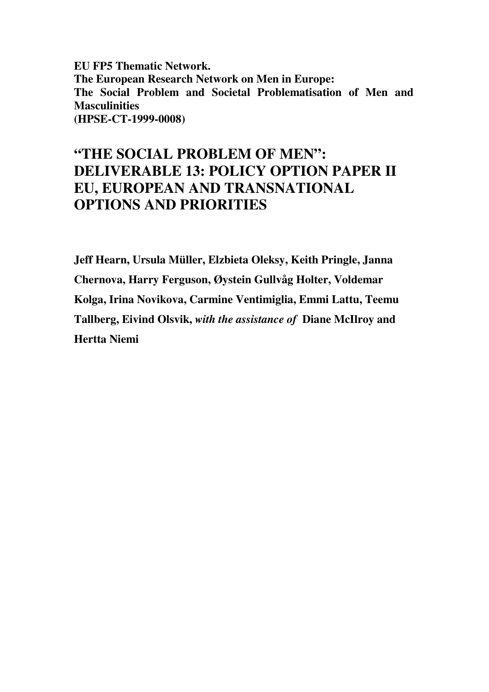**EU FP5 Thematic Network. The European Research Network on Men in Europe: The Social Problem and Societal Problematisation of Men and Masculinities (HPSE-CT-1999-0008)** 

# **"THE SOCIAL PROBLEM OF MEN": DELIVERABLE 13: POLICY OPTION PAPER II EU, EUROPEAN AND TRANSNATIONAL OPTIONS AND PRIORITIES**

**Jeff Hearn, Ursula Müller, Elzbieta Oleksy, Keith Pringle, Janna Chernova, Harry Ferguson, Øystein Gullvåg Holter, Voldemar Kolga, Irina Novikova, Carmine Ventimiglia, Emmi Lattu, Teemu Tallberg, Eivind Olsvik,** *with the assistance of* **Diane McIlroy and Hertta Niemi**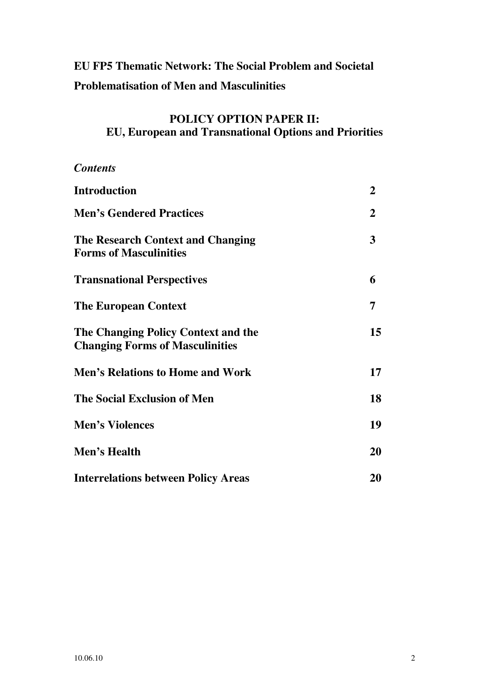# **EU FP5 Thematic Network: The Social Problem and Societal Problematisation of Men and Masculinities**

# **POLICY OPTION PAPER II: EU, European and Transnational Options and Priorities**

| <b>Contents</b>                                                               |                |
|-------------------------------------------------------------------------------|----------------|
| <b>Introduction</b>                                                           | $\mathbf 2$    |
| <b>Men's Gendered Practices</b>                                               | $\overline{2}$ |
| The Research Context and Changing<br><b>Forms of Masculinities</b>            | 3              |
| <b>Transnational Perspectives</b>                                             | 6              |
| <b>The European Context</b>                                                   | 7              |
| The Changing Policy Context and the<br><b>Changing Forms of Masculinities</b> | 15             |
| <b>Men's Relations to Home and Work</b>                                       | 17             |
| <b>The Social Exclusion of Men</b>                                            | 18             |
| <b>Men's Violences</b>                                                        | 19             |
| Men's Health                                                                  | 20             |
| <b>Interrelations between Policy Areas</b>                                    | 20             |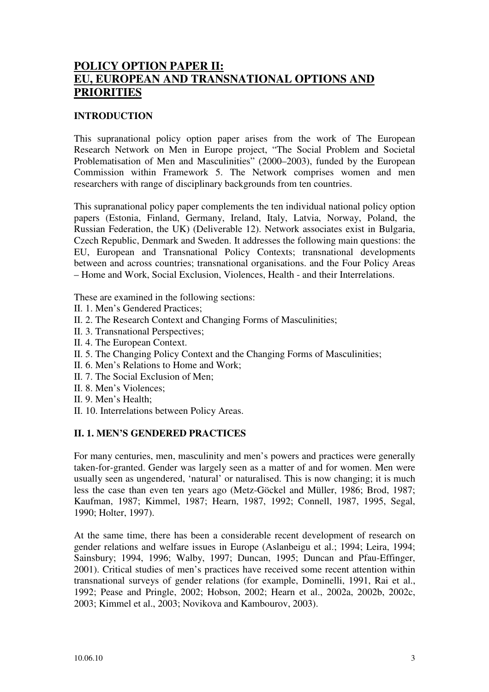# **POLICY OPTION PAPER II: EU, EUROPEAN AND TRANSNATIONAL OPTIONS AND PRIORITIES**

#### **INTRODUCTION**

This supranational policy option paper arises from the work of The European Research Network on Men in Europe project, "The Social Problem and Societal Problematisation of Men and Masculinities" (2000–2003), funded by the European Commission within Framework 5. The Network comprises women and men researchers with range of disciplinary backgrounds from ten countries.

This supranational policy paper complements the ten individual national policy option papers (Estonia, Finland, Germany, Ireland, Italy, Latvia, Norway, Poland, the Russian Federation, the UK) (Deliverable 12). Network associates exist in Bulgaria, Czech Republic, Denmark and Sweden. It addresses the following main questions: the EU, European and Transnational Policy Contexts; transnational developments between and across countries; transnational organisations. and the Four Policy Areas – Home and Work, Social Exclusion, Violences, Health - and their Interrelations.

These are examined in the following sections:

- II. 1. Men's Gendered Practices;
- II. 2. The Research Context and Changing Forms of Masculinities;
- II. 3. Transnational Perspectives;
- II. 4. The European Context.
- II. 5. The Changing Policy Context and the Changing Forms of Masculinities;
- II. 6. Men's Relations to Home and Work;
- II. 7. The Social Exclusion of Men;
- II. 8. Men's Violences;
- II. 9. Men's Health;
- II. 10. Interrelations between Policy Areas.

# **II. 1. MEN'S GENDERED PRACTICES**

For many centuries, men, masculinity and men's powers and practices were generally taken-for-granted. Gender was largely seen as a matter of and for women. Men were usually seen as ungendered, 'natural' or naturalised. This is now changing; it is much less the case than even ten years ago (Metz-Göckel and Müller, 1986; Brod, 1987; Kaufman, 1987; Kimmel, 1987; Hearn, 1987, 1992; Connell, 1987, 1995, Segal, 1990; Holter, 1997).

At the same time, there has been a considerable recent development of research on gender relations and welfare issues in Europe (Aslanbeigu et al.; 1994; Leira, 1994; Sainsbury; 1994, 1996; Walby, 1997; Duncan, 1995; Duncan and Pfau-Effinger, 2001). Critical studies of men's practices have received some recent attention within transnational surveys of gender relations (for example, Dominelli, 1991, Rai et al., 1992; Pease and Pringle, 2002; Hobson, 2002; Hearn et al., 2002a, 2002b, 2002c, 2003; Kimmel et al., 2003; Novikova and Kambourov, 2003).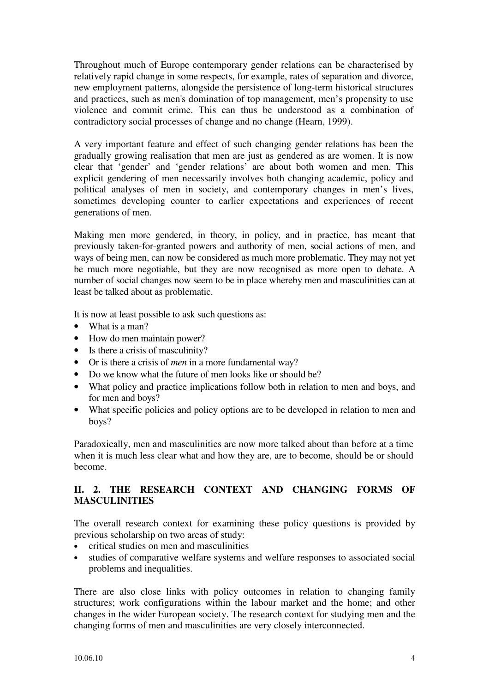Throughout much of Europe contemporary gender relations can be characterised by relatively rapid change in some respects, for example, rates of separation and divorce, new employment patterns, alongside the persistence of long-term historical structures and practices, such as men's domination of top management, men's propensity to use violence and commit crime. This can thus be understood as a combination of contradictory social processes of change and no change (Hearn, 1999).

A very important feature and effect of such changing gender relations has been the gradually growing realisation that men are just as gendered as are women. It is now clear that 'gender' and 'gender relations' are about both women and men. This explicit gendering of men necessarily involves both changing academic, policy and political analyses of men in society, and contemporary changes in men's lives, sometimes developing counter to earlier expectations and experiences of recent generations of men.

Making men more gendered, in theory, in policy, and in practice, has meant that previously taken-for-granted powers and authority of men, social actions of men, and ways of being men, can now be considered as much more problematic. They may not yet be much more negotiable, but they are now recognised as more open to debate. A number of social changes now seem to be in place whereby men and masculinities can at least be talked about as problematic.

It is now at least possible to ask such questions as:

- What is a man?
- How do men maintain power?
- Is there a crisis of masculinity?
- Or is there a crisis of *men* in a more fundamental way?
- Do we know what the future of men looks like or should be?
- What policy and practice implications follow both in relation to men and boys, and for men and boys?
- What specific policies and policy options are to be developed in relation to men and boys?

Paradoxically, men and masculinities are now more talked about than before at a time when it is much less clear what and how they are, are to become, should be or should become.

# **II. 2. THE RESEARCH CONTEXT AND CHANGING FORMS OF MASCULINITIES**

The overall research context for examining these policy questions is provided by previous scholarship on two areas of study:

- critical studies on men and masculinities
- studies of comparative welfare systems and welfare responses to associated social problems and inequalities.

There are also close links with policy outcomes in relation to changing family structures; work configurations within the labour market and the home; and other changes in the wider European society. The research context for studying men and the changing forms of men and masculinities are very closely interconnected.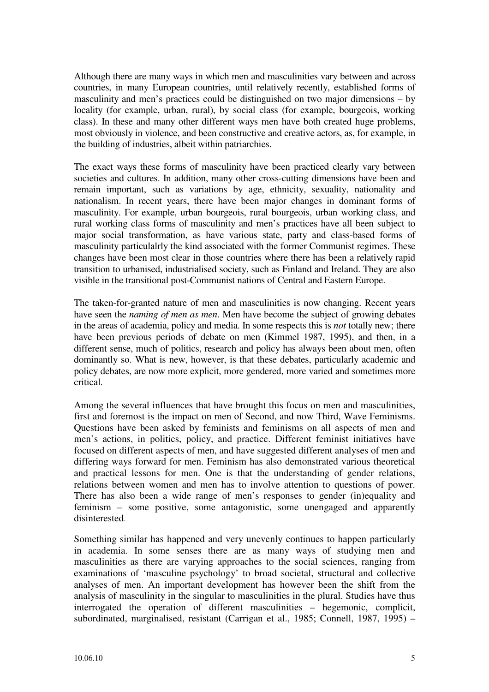Although there are many ways in which men and masculinities vary between and across countries, in many European countries, until relatively recently, established forms of masculinity and men's practices could be distinguished on two major dimensions – by locality (for example, urban, rural), by social class (for example, bourgeois, working class). In these and many other different ways men have both created huge problems, most obviously in violence, and been constructive and creative actors, as, for example, in the building of industries, albeit within patriarchies.

The exact ways these forms of masculinity have been practiced clearly vary between societies and cultures. In addition, many other cross-cutting dimensions have been and remain important, such as variations by age, ethnicity, sexuality, nationality and nationalism. In recent years, there have been major changes in dominant forms of masculinity. For example, urban bourgeois, rural bourgeois, urban working class, and rural working class forms of masculinity and men's practices have all been subject to major social transformation, as have various state, party and class-based forms of masculinity particulalrly the kind associated with the former Communist regimes. These changes have been most clear in those countries where there has been a relatively rapid transition to urbanised, industrialised society, such as Finland and Ireland. They are also visible in the transitional post-Communist nations of Central and Eastern Europe.

The taken-for-granted nature of men and masculinities is now changing. Recent years have seen the *naming of men as men*. Men have become the subject of growing debates in the areas of academia, policy and media. In some respects this is *not* totally new; there have been previous periods of debate on men (Kimmel 1987, 1995), and then, in a different sense, much of politics, research and policy has always been about men, often dominantly so. What is new, however, is that these debates, particularly academic and policy debates, are now more explicit, more gendered, more varied and sometimes more critical.

Among the several influences that have brought this focus on men and masculinities, first and foremost is the impact on men of Second, and now Third, Wave Feminisms. Questions have been asked by feminists and feminisms on all aspects of men and men's actions, in politics, policy, and practice. Different feminist initiatives have focused on different aspects of men, and have suggested different analyses of men and differing ways forward for men. Feminism has also demonstrated various theoretical and practical lessons for men. One is that the understanding of gender relations, relations between women and men has to involve attention to questions of power. There has also been a wide range of men's responses to gender (in)equality and feminism – some positive, some antagonistic, some unengaged and apparently disinterested.

Something similar has happened and very unevenly continues to happen particularly in academia. In some senses there are as many ways of studying men and masculinities as there are varying approaches to the social sciences, ranging from examinations of 'masculine psychology' to broad societal, structural and collective analyses of men. An important development has however been the shift from the analysis of masculinity in the singular to masculinities in the plural. Studies have thus interrogated the operation of different masculinities – hegemonic, complicit, subordinated, marginalised, resistant (Carrigan et al., 1985; Connell, 1987, 1995) –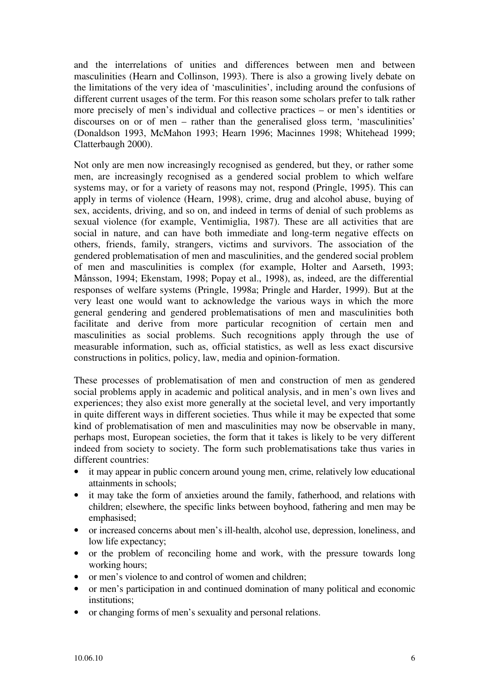and the interrelations of unities and differences between men and between masculinities (Hearn and Collinson, 1993). There is also a growing lively debate on the limitations of the very idea of 'masculinities', including around the confusions of different current usages of the term. For this reason some scholars prefer to talk rather more precisely of men's individual and collective practices – or men's identities or discourses on or of men – rather than the generalised gloss term, 'masculinities' (Donaldson 1993, McMahon 1993; Hearn 1996; Macinnes 1998; Whitehead 1999; Clatterbaugh 2000).

Not only are men now increasingly recognised as gendered, but they, or rather some men, are increasingly recognised as a gendered social problem to which welfare systems may, or for a variety of reasons may not, respond (Pringle, 1995). This can apply in terms of violence (Hearn, 1998), crime, drug and alcohol abuse, buying of sex, accidents, driving, and so on, and indeed in terms of denial of such problems as sexual violence (for example, Ventimiglia, 1987). These are all activities that are social in nature, and can have both immediate and long-term negative effects on others, friends, family, strangers, victims and survivors. The association of the gendered problematisation of men and masculinities, and the gendered social problem of men and masculinities is complex (for example, Holter and Aarseth, 1993; Månsson, 1994; Ekenstam, 1998; Popay et al., 1998), as, indeed, are the differential responses of welfare systems (Pringle, 1998a; Pringle and Harder, 1999). But at the very least one would want to acknowledge the various ways in which the more general gendering and gendered problematisations of men and masculinities both facilitate and derive from more particular recognition of certain men and masculinities as social problems. Such recognitions apply through the use of measurable information, such as, official statistics, as well as less exact discursive constructions in politics, policy, law, media and opinion-formation.

These processes of problematisation of men and construction of men as gendered social problems apply in academic and political analysis, and in men's own lives and experiences; they also exist more generally at the societal level, and very importantly in quite different ways in different societies. Thus while it may be expected that some kind of problematisation of men and masculinities may now be observable in many, perhaps most, European societies, the form that it takes is likely to be very different indeed from society to society. The form such problematisations take thus varies in different countries:

- it may appear in public concern around young men, crime, relatively low educational attainments in schools;
- it may take the form of anxieties around the family, fatherhood, and relations with children; elsewhere, the specific links between boyhood, fathering and men may be emphasised;
- or increased concerns about men's ill-health, alcohol use, depression, loneliness, and low life expectancy;
- or the problem of reconciling home and work, with the pressure towards long working hours;
- or men's violence to and control of women and children;
- or men's participation in and continued domination of many political and economic institutions;
- or changing forms of men's sexuality and personal relations.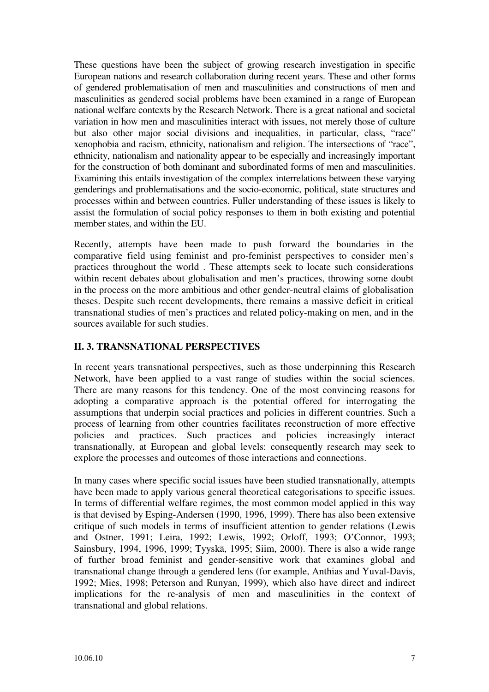These questions have been the subject of growing research investigation in specific European nations and research collaboration during recent years. These and other forms of gendered problematisation of men and masculinities and constructions of men and masculinities as gendered social problems have been examined in a range of European national welfare contexts by the Research Network. There is a great national and societal variation in how men and masculinities interact with issues, not merely those of culture but also other major social divisions and inequalities, in particular, class, "race" xenophobia and racism, ethnicity, nationalism and religion. The intersections of "race", ethnicity, nationalism and nationality appear to be especially and increasingly important for the construction of both dominant and subordinated forms of men and masculinities. Examining this entails investigation of the complex interrelations between these varying genderings and problematisations and the socio-economic, political, state structures and processes within and between countries. Fuller understanding of these issues is likely to assist the formulation of social policy responses to them in both existing and potential member states, and within the EU.

Recently, attempts have been made to push forward the boundaries in the comparative field using feminist and pro-feminist perspectives to consider men's practices throughout the world . These attempts seek to locate such considerations within recent debates about globalisation and men's practices, throwing some doubt in the process on the more ambitious and other gender-neutral claims of globalisation theses. Despite such recent developments, there remains a massive deficit in critical transnational studies of men's practices and related policy-making on men, and in the sources available for such studies.

# **II. 3. TRANSNATIONAL PERSPECTIVES**

In recent years transnational perspectives, such as those underpinning this Research Network, have been applied to a vast range of studies within the social sciences. There are many reasons for this tendency. One of the most convincing reasons for adopting a comparative approach is the potential offered for interrogating the assumptions that underpin social practices and policies in different countries. Such a process of learning from other countries facilitates reconstruction of more effective policies and practices. Such practices and policies increasingly interact transnationally, at European and global levels: consequently research may seek to explore the processes and outcomes of those interactions and connections.

In many cases where specific social issues have been studied transnationally, attempts have been made to apply various general theoretical categorisations to specific issues. In terms of differential welfare regimes, the most common model applied in this way is that devised by Esping-Andersen (1990, 1996, 1999). There has also been extensive critique of such models in terms of insufficient attention to gender relations (Lewis and Ostner, 1991; Leira, 1992; Lewis, 1992; Orloff, 1993; O'Connor, 1993; Sainsbury, 1994, 1996, 1999; Tyyskä, 1995; Siim, 2000). There is also a wide range of further broad feminist and gender-sensitive work that examines global and transnational change through a gendered lens (for example, Anthias and Yuval-Davis, 1992; Mies, 1998; Peterson and Runyan, 1999), which also have direct and indirect implications for the re-analysis of men and masculinities in the context of transnational and global relations.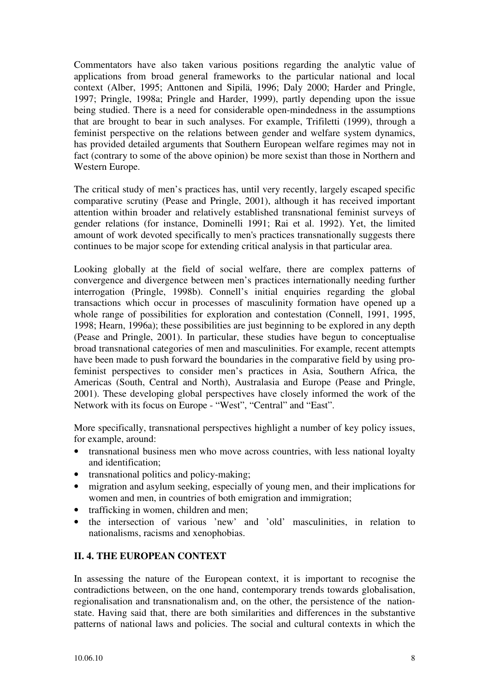Commentators have also taken various positions regarding the analytic value of applications from broad general frameworks to the particular national and local context (Alber, 1995; Anttonen and Sipilä, 1996; Daly 2000; Harder and Pringle, 1997; Pringle, 1998a; Pringle and Harder, 1999), partly depending upon the issue being studied. There is a need for considerable open-mindedness in the assumptions that are brought to bear in such analyses. For example, Trifiletti (1999), through a feminist perspective on the relations between gender and welfare system dynamics, has provided detailed arguments that Southern European welfare regimes may not in fact (contrary to some of the above opinion) be more sexist than those in Northern and Western Europe.

The critical study of men's practices has, until very recently, largely escaped specific comparative scrutiny (Pease and Pringle, 2001), although it has received important attention within broader and relatively established transnational feminist surveys of gender relations (for instance, Dominelli 1991; Rai et al. 1992). Yet, the limited amount of work devoted specifically to men's practices transnationally suggests there continues to be major scope for extending critical analysis in that particular area.

Looking globally at the field of social welfare, there are complex patterns of convergence and divergence between men's practices internationally needing further interrogation (Pringle, 1998b). Connell's initial enquiries regarding the global transactions which occur in processes of masculinity formation have opened up a whole range of possibilities for exploration and contestation (Connell, 1991, 1995, 1998; Hearn, 1996a); these possibilities are just beginning to be explored in any depth (Pease and Pringle, 2001). In particular, these studies have begun to conceptualise broad transnational categories of men and masculinities. For example, recent attempts have been made to push forward the boundaries in the comparative field by using profeminist perspectives to consider men's practices in Asia, Southern Africa, the Americas (South, Central and North), Australasia and Europe (Pease and Pringle, 2001). These developing global perspectives have closely informed the work of the Network with its focus on Europe - "West", "Central" and "East".

More specifically, transnational perspectives highlight a number of key policy issues, for example, around:

- transnational business men who move across countries, with less national loyalty and identification;
- transnational politics and policy-making;
- migration and asylum seeking, especially of young men, and their implications for women and men, in countries of both emigration and immigration;
- trafficking in women, children and men:
- the intersection of various 'new' and 'old' masculinities, in relation to nationalisms, racisms and xenophobias.

# **II. 4. THE EUROPEAN CONTEXT**

In assessing the nature of the European context, it is important to recognise the contradictions between, on the one hand, contemporary trends towards globalisation, regionalisation and transnationalism and, on the other, the persistence of the nationstate. Having said that, there are both similarities and differences in the substantive patterns of national laws and policies. The social and cultural contexts in which the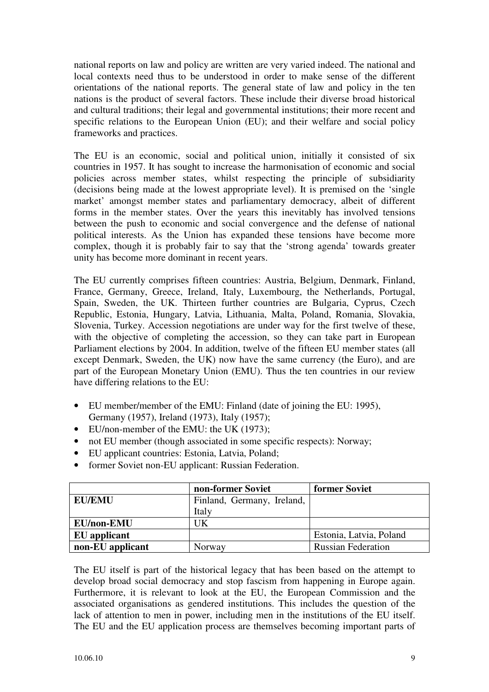national reports on law and policy are written are very varied indeed. The national and local contexts need thus to be understood in order to make sense of the different orientations of the national reports. The general state of law and policy in the ten nations is the product of several factors. These include their diverse broad historical and cultural traditions; their legal and governmental institutions; their more recent and specific relations to the European Union (EU); and their welfare and social policy frameworks and practices.

The EU is an economic, social and political union, initially it consisted of six countries in 1957. It has sought to increase the harmonisation of economic and social policies across member states, whilst respecting the principle of subsidiarity (decisions being made at the lowest appropriate level). It is premised on the 'single market' amongst member states and parliamentary democracy, albeit of different forms in the member states. Over the years this inevitably has involved tensions between the push to economic and social convergence and the defense of national political interests. As the Union has expanded these tensions have become more complex, though it is probably fair to say that the 'strong agenda' towards greater unity has become more dominant in recent years.

The EU currently comprises fifteen countries: Austria, Belgium, Denmark, Finland, France, Germany, Greece, Ireland, Italy, Luxembourg, the Netherlands, Portugal, Spain, Sweden, the UK. Thirteen further countries are Bulgaria, Cyprus, Czech Republic, Estonia, Hungary, Latvia, Lithuania, Malta, Poland, Romania, Slovakia, Slovenia, Turkey. Accession negotiations are under way for the first twelve of these, with the objective of completing the accession, so they can take part in European Parliament elections by 2004. In addition, twelve of the fifteen EU member states (all except Denmark, Sweden, the UK) now have the same currency (the Euro), and are part of the European Monetary Union (EMU). Thus the ten countries in our review have differing relations to the EU:

- EU member/member of the EMU: Finland (date of joining the EU: 1995), Germany (1957), Ireland (1973), Italy (1957);
- EU/non-member of the EMU: the UK (1973);
- not EU member (though associated in some specific respects): Norway;
- EU applicant countries: Estonia, Latvia, Poland;
- former Soviet non-EU applicant: Russian Federation.

|                   | non-former Soviet          | former Soviet             |
|-------------------|----------------------------|---------------------------|
| <b>EU/EMU</b>     | Finland, Germany, Ireland, |                           |
|                   | Italy                      |                           |
| <b>EU/non-EMU</b> | [JK                        |                           |
| EU applicant      |                            | Estonia, Latvia, Poland   |
| non-EU applicant  | Norway                     | <b>Russian Federation</b> |

The EU itself is part of the historical legacy that has been based on the attempt to develop broad social democracy and stop fascism from happening in Europe again. Furthermore, it is relevant to look at the EU, the European Commission and the associated organisations as gendered institutions. This includes the question of the lack of attention to men in power, including men in the institutions of the EU itself. The EU and the EU application process are themselves becoming important parts of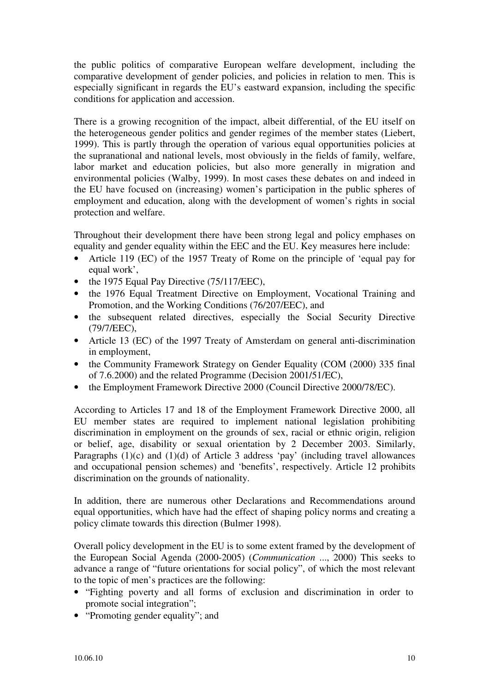the public politics of comparative European welfare development, including the comparative development of gender policies, and policies in relation to men. This is especially significant in regards the EU's eastward expansion, including the specific conditions for application and accession.

There is a growing recognition of the impact, albeit differential, of the EU itself on the heterogeneous gender politics and gender regimes of the member states (Liebert, 1999). This is partly through the operation of various equal opportunities policies at the supranational and national levels, most obviously in the fields of family, welfare, labor market and education policies, but also more generally in migration and environmental policies (Walby, 1999). In most cases these debates on and indeed in the EU have focused on (increasing) women's participation in the public spheres of employment and education, along with the development of women's rights in social protection and welfare.

Throughout their development there have been strong legal and policy emphases on equality and gender equality within the EEC and the EU. Key measures here include:

- Article 119 (EC) of the 1957 Treaty of Rome on the principle of 'equal pay for equal work',
- the 1975 Equal Pay Directive (75/117/EEC),
- the 1976 Equal Treatment Directive on Employment, Vocational Training and Promotion, and the Working Conditions (76/207/EEC), and
- the subsequent related directives, especially the Social Security Directive (79/7/EEC),
- Article 13 (EC) of the 1997 Treaty of Amsterdam on general anti-discrimination in employment,
- the Community Framework Strategy on Gender Equality (COM (2000) 335 final of 7.6.2000) and the related Programme (Decision 2001/51/EC),
- the Employment Framework Directive 2000 (Council Directive 2000/78/EC).

According to Articles 17 and 18 of the Employment Framework Directive 2000, all EU member states are required to implement national legislation prohibiting discrimination in employment on the grounds of sex, racial or ethnic origin, religion or belief, age, disability or sexual orientation by 2 December 2003. Similarly, Paragraphs  $(1)(c)$  and  $(1)(d)$  of Article 3 address 'pay' (including travel allowances and occupational pension schemes) and 'benefits', respectively. Article 12 prohibits discrimination on the grounds of nationality.

In addition, there are numerous other Declarations and Recommendations around equal opportunities, which have had the effect of shaping policy norms and creating a policy climate towards this direction (Bulmer 1998).

Overall policy development in the EU is to some extent framed by the development of the European Social Agenda (2000-2005) (*Communication* ..., 2000) This seeks to advance a range of "future orientations for social policy", of which the most relevant to the topic of men's practices are the following:

- "Fighting poverty and all forms of exclusion and discrimination in order to promote social integration";
- "Promoting gender equality"; and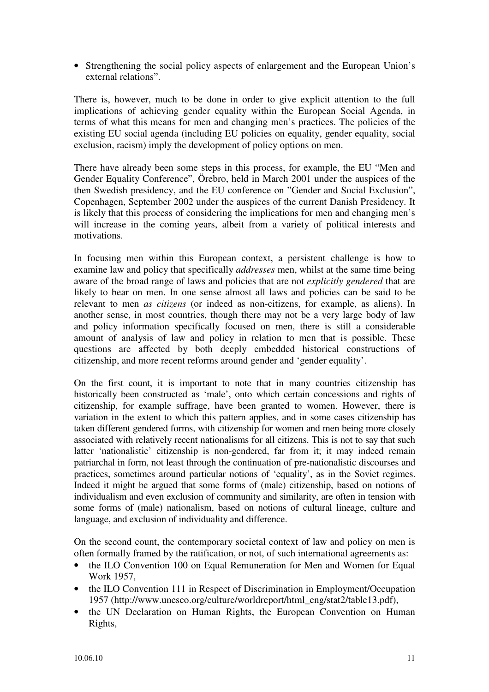• Strengthening the social policy aspects of enlargement and the European Union's external relations".

There is, however, much to be done in order to give explicit attention to the full implications of achieving gender equality within the European Social Agenda, in terms of what this means for men and changing men's practices. The policies of the existing EU social agenda (including EU policies on equality, gender equality, social exclusion, racism) imply the development of policy options on men.

There have already been some steps in this process, for example, the EU "Men and Gender Equality Conference", Örebro, held in March 2001 under the auspices of the then Swedish presidency, and the EU conference on "Gender and Social Exclusion", Copenhagen, September 2002 under the auspices of the current Danish Presidency. It is likely that this process of considering the implications for men and changing men's will increase in the coming years, albeit from a variety of political interests and motivations.

In focusing men within this European context, a persistent challenge is how to examine law and policy that specifically *addresses* men, whilst at the same time being aware of the broad range of laws and policies that are not *explicitly gendered* that are likely to bear on men. In one sense almost all laws and policies can be said to be relevant to men *as citizens* (or indeed as non-citizens, for example, as aliens). In another sense, in most countries, though there may not be a very large body of law and policy information specifically focused on men, there is still a considerable amount of analysis of law and policy in relation to men that is possible. These questions are affected by both deeply embedded historical constructions of citizenship, and more recent reforms around gender and 'gender equality'.

On the first count, it is important to note that in many countries citizenship has historically been constructed as 'male', onto which certain concessions and rights of citizenship, for example suffrage, have been granted to women. However, there is variation in the extent to which this pattern applies, and in some cases citizenship has taken different gendered forms, with citizenship for women and men being more closely associated with relatively recent nationalisms for all citizens. This is not to say that such latter 'nationalistic' citizenship is non-gendered, far from it; it may indeed remain patriarchal in form, not least through the continuation of pre-nationalistic discourses and practices, sometimes around particular notions of 'equality', as in the Soviet regimes. Indeed it might be argued that some forms of (male) citizenship, based on notions of individualism and even exclusion of community and similarity, are often in tension with some forms of (male) nationalism, based on notions of cultural lineage, culture and language, and exclusion of individuality and difference.

On the second count, the contemporary societal context of law and policy on men is often formally framed by the ratification, or not, of such international agreements as:

- the ILO Convention 100 on Equal Remuneration for Men and Women for Equal Work 1957,
- the ILO Convention 111 in Respect of Discrimination in Employment/Occupation 1957 (http://www.unesco.org/culture/worldreport/html\_eng/stat2/table13.pdf),
- the UN Declaration on Human Rights, the European Convention on Human Rights,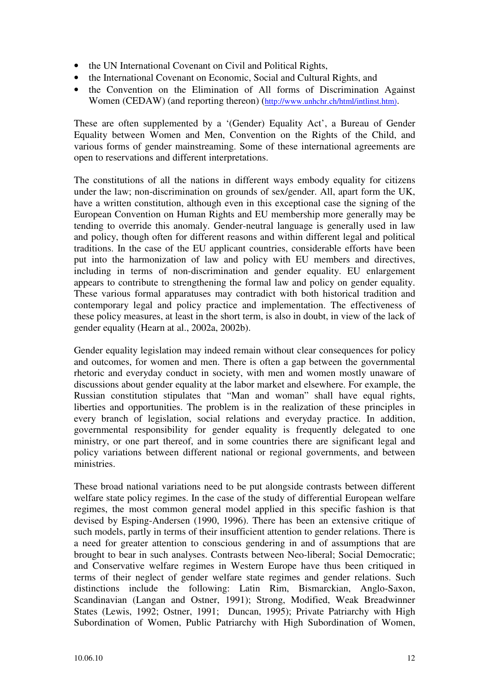- the UN International Covenant on Civil and Political Rights,
- the International Covenant on Economic, Social and Cultural Rights, and
- the Convention on the Elimination of All forms of Discrimination Against Women (CEDAW) (and reporting thereon) (http://www.unhchr.ch/html/intlinst.htm).

These are often supplemented by a '(Gender) Equality Act', a Bureau of Gender Equality between Women and Men, Convention on the Rights of the Child, and various forms of gender mainstreaming. Some of these international agreements are open to reservations and different interpretations.

The constitutions of all the nations in different ways embody equality for citizens under the law; non-discrimination on grounds of sex/gender. All, apart form the UK, have a written constitution, although even in this exceptional case the signing of the European Convention on Human Rights and EU membership more generally may be tending to override this anomaly. Gender-neutral language is generally used in law and policy, though often for different reasons and within different legal and political traditions. In the case of the EU applicant countries, considerable efforts have been put into the harmonization of law and policy with EU members and directives, including in terms of non-discrimination and gender equality. EU enlargement appears to contribute to strengthening the formal law and policy on gender equality. These various formal apparatuses may contradict with both historical tradition and contemporary legal and policy practice and implementation. The effectiveness of these policy measures, at least in the short term, is also in doubt, in view of the lack of gender equality (Hearn at al., 2002a, 2002b).

Gender equality legislation may indeed remain without clear consequences for policy and outcomes, for women and men. There is often a gap between the governmental rhetoric and everyday conduct in society, with men and women mostly unaware of discussions about gender equality at the labor market and elsewhere. For example, the Russian constitution stipulates that "Man and woman" shall have equal rights, liberties and opportunities. The problem is in the realization of these principles in every branch of legislation, social relations and everyday practice. In addition, governmental responsibility for gender equality is frequently delegated to one ministry, or one part thereof, and in some countries there are significant legal and policy variations between different national or regional governments, and between ministries.

These broad national variations need to be put alongside contrasts between different welfare state policy regimes. In the case of the study of differential European welfare regimes, the most common general model applied in this specific fashion is that devised by Esping-Andersen (1990, 1996). There has been an extensive critique of such models, partly in terms of their insufficient attention to gender relations. There is a need for greater attention to conscious gendering in and of assumptions that are brought to bear in such analyses. Contrasts between Neo-liberal; Social Democratic; and Conservative welfare regimes in Western Europe have thus been critiqued in terms of their neglect of gender welfare state regimes and gender relations. Such distinctions include the following: Latin Rim, Bismarckian, Anglo-Saxon, Scandinavian (Langan and Ostner, 1991); Strong, Modified, Weak Breadwinner States (Lewis, 1992; Ostner, 1991; Duncan, 1995); Private Patriarchy with High Subordination of Women, Public Patriarchy with High Subordination of Women,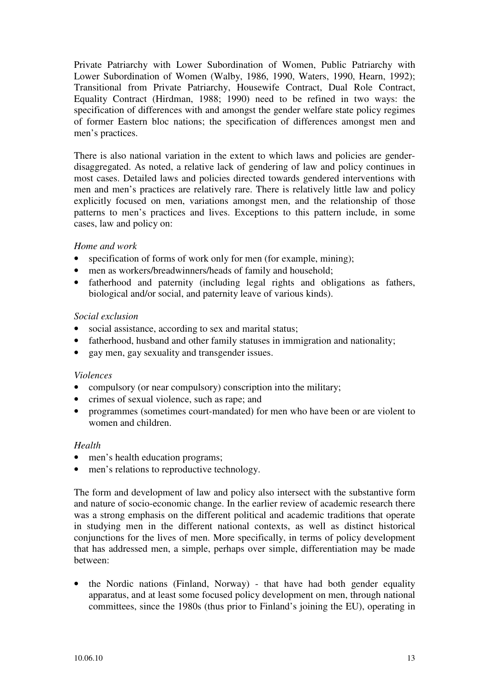Private Patriarchy with Lower Subordination of Women, Public Patriarchy with Lower Subordination of Women (Walby, 1986, 1990, Waters, 1990, Hearn, 1992); Transitional from Private Patriarchy, Housewife Contract, Dual Role Contract, Equality Contract (Hirdman, 1988; 1990) need to be refined in two ways: the specification of differences with and amongst the gender welfare state policy regimes of former Eastern bloc nations; the specification of differences amongst men and men's practices.

There is also national variation in the extent to which laws and policies are genderdisaggregated. As noted, a relative lack of gendering of law and policy continues in most cases. Detailed laws and policies directed towards gendered interventions with men and men's practices are relatively rare. There is relatively little law and policy explicitly focused on men, variations amongst men, and the relationship of those patterns to men's practices and lives. Exceptions to this pattern include, in some cases, law and policy on:

#### *Home and work*

- specification of forms of work only for men (for example, mining);
- men as workers/breadwinners/heads of family and household;
- fatherhood and paternity (including legal rights and obligations as fathers, biological and/or social, and paternity leave of various kinds).

#### *Social exclusion*

- social assistance, according to sex and marital status:
- fatherhood, husband and other family statuses in immigration and nationality;
- gay men, gay sexuality and transgender issues.

#### *Violences*

- compulsory (or near compulsory) conscription into the military;
- crimes of sexual violence, such as rape; and
- programmes (sometimes court-mandated) for men who have been or are violent to women and children.

#### *Health*

- men's health education programs;
- men's relations to reproductive technology.

The form and development of law and policy also intersect with the substantive form and nature of socio-economic change. In the earlier review of academic research there was a strong emphasis on the different political and academic traditions that operate in studying men in the different national contexts, as well as distinct historical conjunctions for the lives of men. More specifically, in terms of policy development that has addressed men, a simple, perhaps over simple, differentiation may be made between:

• the Nordic nations (Finland, Norway) - that have had both gender equality apparatus, and at least some focused policy development on men, through national committees, since the 1980s (thus prior to Finland's joining the EU), operating in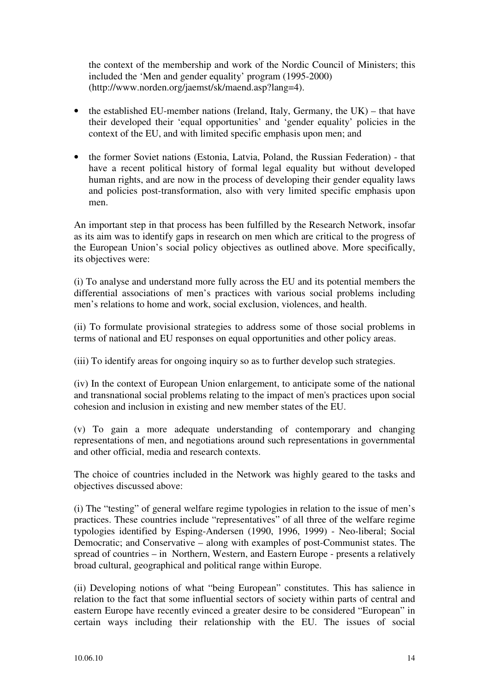the context of the membership and work of the Nordic Council of Ministers; this included the 'Men and gender equality' program (1995-2000) (http://www.norden.org/jaemst/sk/maend.asp?lang=4).

- the established EU-member nations (Ireland, Italy, Germany, the UK) that have their developed their 'equal opportunities' and 'gender equality' policies in the context of the EU, and with limited specific emphasis upon men; and
- the former Soviet nations (Estonia, Latvia, Poland, the Russian Federation) that have a recent political history of formal legal equality but without developed human rights, and are now in the process of developing their gender equality laws and policies post-transformation, also with very limited specific emphasis upon men.

An important step in that process has been fulfilled by the Research Network, insofar as its aim was to identify gaps in research on men which are critical to the progress of the European Union's social policy objectives as outlined above. More specifically, its objectives were:

(i) To analyse and understand more fully across the EU and its potential members the differential associations of men's practices with various social problems including men's relations to home and work, social exclusion, violences, and health.

(ii) To formulate provisional strategies to address some of those social problems in terms of national and EU responses on equal opportunities and other policy areas.

(iii) To identify areas for ongoing inquiry so as to further develop such strategies.

(iv) In the context of European Union enlargement, to anticipate some of the national and transnational social problems relating to the impact of men's practices upon social cohesion and inclusion in existing and new member states of the EU.

(v) To gain a more adequate understanding of contemporary and changing representations of men, and negotiations around such representations in governmental and other official, media and research contexts.

The choice of countries included in the Network was highly geared to the tasks and objectives discussed above:

(i) The "testing" of general welfare regime typologies in relation to the issue of men's practices. These countries include "representatives" of all three of the welfare regime typologies identified by Esping-Andersen (1990, 1996, 1999) - Neo-liberal; Social Democratic; and Conservative – along with examples of post-Communist states. The spread of countries – in Northern, Western, and Eastern Europe - presents a relatively broad cultural, geographical and political range within Europe.

(ii) Developing notions of what "being European" constitutes. This has salience in relation to the fact that some influential sectors of society within parts of central and eastern Europe have recently evinced a greater desire to be considered "European" in certain ways including their relationship with the EU. The issues of social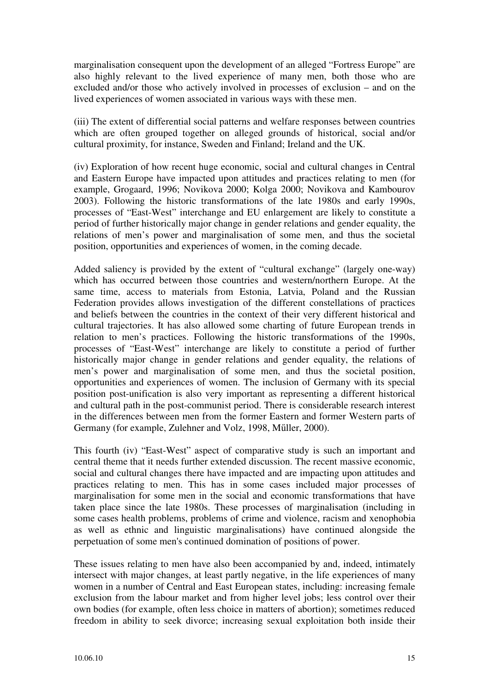marginalisation consequent upon the development of an alleged "Fortress Europe" are also highly relevant to the lived experience of many men, both those who are excluded and/or those who actively involved in processes of exclusion – and on the lived experiences of women associated in various ways with these men.

(iii) The extent of differential social patterns and welfare responses between countries which are often grouped together on alleged grounds of historical, social and/or cultural proximity, for instance, Sweden and Finland; Ireland and the UK.

(iv) Exploration of how recent huge economic, social and cultural changes in Central and Eastern Europe have impacted upon attitudes and practices relating to men (for example, Grogaard, 1996; Novikova 2000; Kolga 2000; Novikova and Kambourov 2003). Following the historic transformations of the late 1980s and early 1990s, processes of "East-West" interchange and EU enlargement are likely to constitute a period of further historically major change in gender relations and gender equality, the relations of men's power and marginalisation of some men, and thus the societal position, opportunities and experiences of women, in the coming decade.

Added saliency is provided by the extent of "cultural exchange" (largely one-way) which has occurred between those countries and western/northern Europe. At the same time, access to materials from Estonia, Latvia, Poland and the Russian Federation provides allows investigation of the different constellations of practices and beliefs between the countries in the context of their very different historical and cultural trajectories. It has also allowed some charting of future European trends in relation to men's practices. Following the historic transformations of the 1990s, processes of "East-West" interchange are likely to constitute a period of further historically major change in gender relations and gender equality, the relations of men's power and marginalisation of some men, and thus the societal position, opportunities and experiences of women. The inclusion of Germany with its special position post-unification is also very important as representing a different historical and cultural path in the post-communist period. There is considerable research interest in the differences between men from the former Eastern and former Western parts of Germany (for example, Zulehner and Volz, 1998, Műller, 2000).

This fourth (iv) "East-West" aspect of comparative study is such an important and central theme that it needs further extended discussion. The recent massive economic, social and cultural changes there have impacted and are impacting upon attitudes and practices relating to men. This has in some cases included major processes of marginalisation for some men in the social and economic transformations that have taken place since the late 1980s. These processes of marginalisation (including in some cases health problems, problems of crime and violence, racism and xenophobia as well as ethnic and linguistic marginalisations) have continued alongside the perpetuation of some men's continued domination of positions of power.

These issues relating to men have also been accompanied by and, indeed, intimately intersect with major changes, at least partly negative, in the life experiences of many women in a number of Central and East European states, including: increasing female exclusion from the labour market and from higher level jobs; less control over their own bodies (for example, often less choice in matters of abortion); sometimes reduced freedom in ability to seek divorce; increasing sexual exploitation both inside their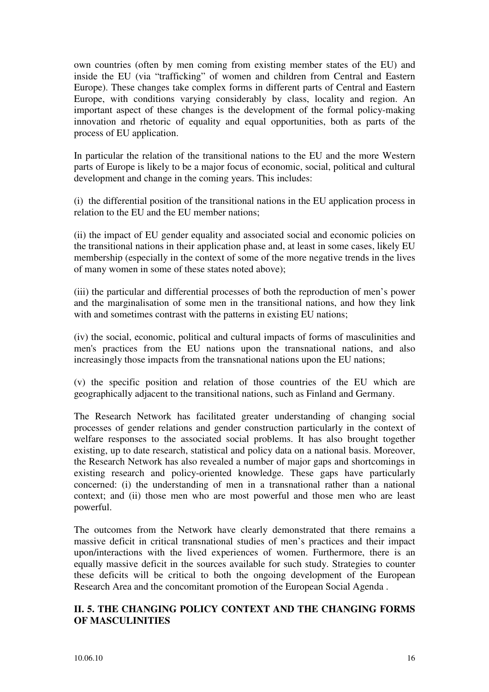own countries (often by men coming from existing member states of the EU) and inside the EU (via "trafficking" of women and children from Central and Eastern Europe). These changes take complex forms in different parts of Central and Eastern Europe, with conditions varying considerably by class, locality and region. An important aspect of these changes is the development of the formal policy-making innovation and rhetoric of equality and equal opportunities, both as parts of the process of EU application.

In particular the relation of the transitional nations to the EU and the more Western parts of Europe is likely to be a major focus of economic, social, political and cultural development and change in the coming years. This includes:

(i) the differential position of the transitional nations in the EU application process in relation to the EU and the EU member nations;

(ii) the impact of EU gender equality and associated social and economic policies on the transitional nations in their application phase and, at least in some cases, likely EU membership (especially in the context of some of the more negative trends in the lives of many women in some of these states noted above);

(iii) the particular and differential processes of both the reproduction of men's power and the marginalisation of some men in the transitional nations, and how they link with and sometimes contrast with the patterns in existing EU nations;

(iv) the social, economic, political and cultural impacts of forms of masculinities and men's practices from the EU nations upon the transnational nations, and also increasingly those impacts from the transnational nations upon the EU nations;

(v) the specific position and relation of those countries of the EU which are geographically adjacent to the transitional nations, such as Finland and Germany.

The Research Network has facilitated greater understanding of changing social processes of gender relations and gender construction particularly in the context of welfare responses to the associated social problems. It has also brought together existing, up to date research, statistical and policy data on a national basis. Moreover, the Research Network has also revealed a number of major gaps and shortcomings in existing research and policy-oriented knowledge. These gaps have particularly concerned: (i) the understanding of men in a transnational rather than a national context; and (ii) those men who are most powerful and those men who are least powerful.

The outcomes from the Network have clearly demonstrated that there remains a massive deficit in critical transnational studies of men's practices and their impact upon/interactions with the lived experiences of women. Furthermore, there is an equally massive deficit in the sources available for such study. Strategies to counter these deficits will be critical to both the ongoing development of the European Research Area and the concomitant promotion of the European Social Agenda .

# **II. 5. THE CHANGING POLICY CONTEXT AND THE CHANGING FORMS OF MASCULINITIES**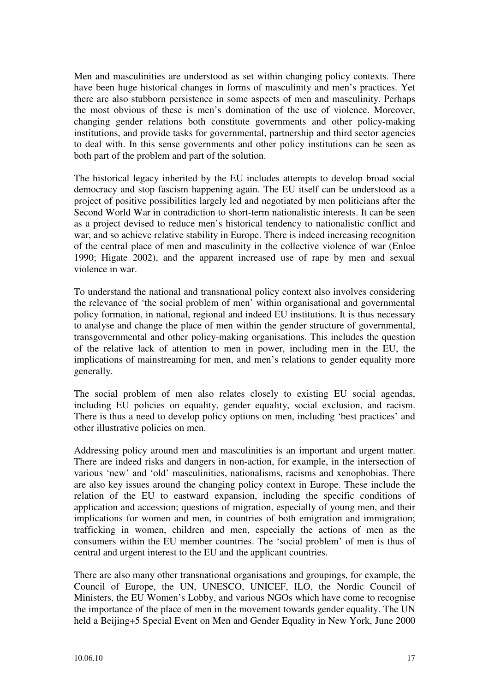Men and masculinities are understood as set within changing policy contexts. There have been huge historical changes in forms of masculinity and men's practices. Yet there are also stubborn persistence in some aspects of men and masculinity. Perhaps the most obvious of these is men's domination of the use of violence. Moreover, changing gender relations both constitute governments and other policy-making institutions, and provide tasks for governmental, partnership and third sector agencies to deal with. In this sense governments and other policy institutions can be seen as both part of the problem and part of the solution.

The historical legacy inherited by the EU includes attempts to develop broad social democracy and stop fascism happening again. The EU itself can be understood as a project of positive possibilities largely led and negotiated by men politicians after the Second World War in contradiction to short-term nationalistic interests. It can be seen as a project devised to reduce men's historical tendency to nationalistic conflict and war, and so achieve relative stability in Europe. There is indeed increasing recognition of the central place of men and masculinity in the collective violence of war (Enloe 1990; Higate 2002), and the apparent increased use of rape by men and sexual violence in war.

To understand the national and transnational policy context also involves considering the relevance of 'the social problem of men' within organisational and governmental policy formation, in national, regional and indeed EU institutions. It is thus necessary to analyse and change the place of men within the gender structure of governmental, transgovernmental and other policy-making organisations. This includes the question of the relative lack of attention to men in power, including men in the EU, the implications of mainstreaming for men, and men's relations to gender equality more generally.

The social problem of men also relates closely to existing EU social agendas, including EU policies on equality, gender equality, social exclusion, and racism. There is thus a need to develop policy options on men, including 'best practices' and other illustrative policies on men.

Addressing policy around men and masculinities is an important and urgent matter. There are indeed risks and dangers in non-action, for example, in the intersection of various 'new' and 'old' masculinities, nationalisms, racisms and xenophobias. There are also key issues around the changing policy context in Europe. These include the relation of the EU to eastward expansion, including the specific conditions of application and accession; questions of migration, especially of young men, and their implications for women and men, in countries of both emigration and immigration; trafficking in women, children and men, especially the actions of men as the consumers within the EU member countries. The 'social problem' of men is thus of central and urgent interest to the EU and the applicant countries.

There are also many other transnational organisations and groupings, for example, the Council of Europe, the UN, UNESCO, UNICEF, ILO, the Nordic Council of Ministers, the EU Women's Lobby, and various NGOs which have come to recognise the importance of the place of men in the movement towards gender equality. The UN held a Beijing+5 Special Event on Men and Gender Equality in New York, June 2000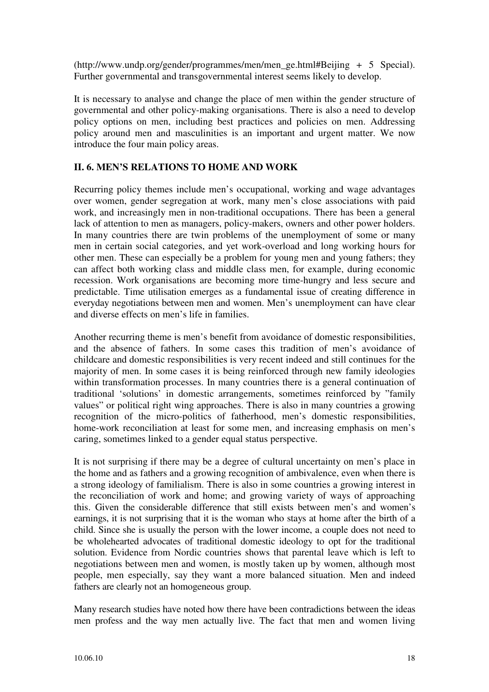(http://www.undp.org/gender/programmes/men/men\_ge.html#Beijing + 5 Special). Further governmental and transgovernmental interest seems likely to develop.

It is necessary to analyse and change the place of men within the gender structure of governmental and other policy-making organisations. There is also a need to develop policy options on men, including best practices and policies on men. Addressing policy around men and masculinities is an important and urgent matter. We now introduce the four main policy areas.

# **II. 6. MEN'S RELATIONS TO HOME AND WORK**

Recurring policy themes include men's occupational, working and wage advantages over women, gender segregation at work, many men's close associations with paid work, and increasingly men in non-traditional occupations. There has been a general lack of attention to men as managers, policy-makers, owners and other power holders. In many countries there are twin problems of the unemployment of some or many men in certain social categories, and yet work-overload and long working hours for other men. These can especially be a problem for young men and young fathers; they can affect both working class and middle class men, for example, during economic recession. Work organisations are becoming more time-hungry and less secure and predictable. Time utilisation emerges as a fundamental issue of creating difference in everyday negotiations between men and women. Men's unemployment can have clear and diverse effects on men's life in families.

Another recurring theme is men's benefit from avoidance of domestic responsibilities, and the absence of fathers. In some cases this tradition of men's avoidance of childcare and domestic responsibilities is very recent indeed and still continues for the majority of men. In some cases it is being reinforced through new family ideologies within transformation processes. In many countries there is a general continuation of traditional 'solutions' in domestic arrangements, sometimes reinforced by "family values" or political right wing approaches. There is also in many countries a growing recognition of the micro-politics of fatherhood, men's domestic responsibilities, home-work reconciliation at least for some men, and increasing emphasis on men's caring, sometimes linked to a gender equal status perspective.

It is not surprising if there may be a degree of cultural uncertainty on men's place in the home and as fathers and a growing recognition of ambivalence, even when there is a strong ideology of familialism. There is also in some countries a growing interest in the reconciliation of work and home; and growing variety of ways of approaching this. Given the considerable difference that still exists between men's and women's earnings, it is not surprising that it is the woman who stays at home after the birth of a child. Since she is usually the person with the lower income, a couple does not need to be wholehearted advocates of traditional domestic ideology to opt for the traditional solution. Evidence from Nordic countries shows that parental leave which is left to negotiations between men and women, is mostly taken up by women, although most people, men especially, say they want a more balanced situation. Men and indeed fathers are clearly not an homogeneous group.

Many research studies have noted how there have been contradictions between the ideas men profess and the way men actually live. The fact that men and women living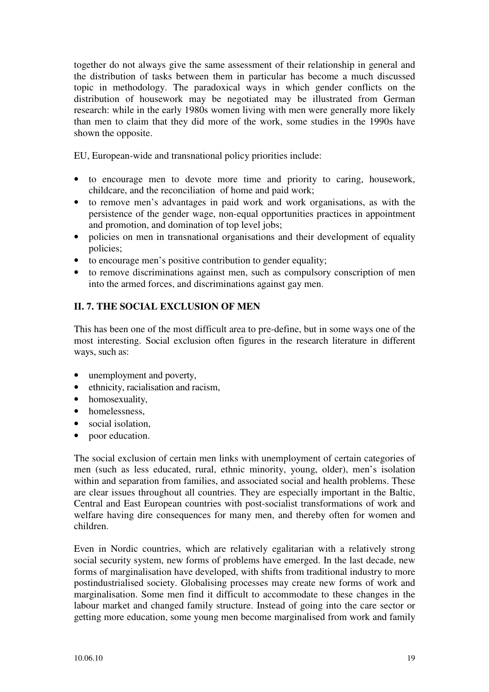together do not always give the same assessment of their relationship in general and the distribution of tasks between them in particular has become a much discussed topic in methodology. The paradoxical ways in which gender conflicts on the distribution of housework may be negotiated may be illustrated from German research: while in the early 1980s women living with men were generally more likely than men to claim that they did more of the work, some studies in the 1990s have shown the opposite.

EU, European-wide and transnational policy priorities include:

- to encourage men to devote more time and priority to caring, housework, childcare, and the reconciliation of home and paid work;
- to remove men's advantages in paid work and work organisations, as with the persistence of the gender wage, non-equal opportunities practices in appointment and promotion, and domination of top level jobs;
- policies on men in transnational organisations and their development of equality policies;
- to encourage men's positive contribution to gender equality;
- to remove discriminations against men, such as compulsory conscription of men into the armed forces, and discriminations against gay men.

# **II. 7. THE SOCIAL EXCLUSION OF MEN**

This has been one of the most difficult area to pre-define, but in some ways one of the most interesting. Social exclusion often figures in the research literature in different ways, such as:

- unemployment and poverty,
- ethnicity, racialisation and racism,
- homosexuality.
- homelessness,
- social isolation,
- poor education.

The social exclusion of certain men links with unemployment of certain categories of men (such as less educated, rural, ethnic minority, young, older), men's isolation within and separation from families, and associated social and health problems. These are clear issues throughout all countries. They are especially important in the Baltic, Central and East European countries with post-socialist transformations of work and welfare having dire consequences for many men, and thereby often for women and children.

Even in Nordic countries, which are relatively egalitarian with a relatively strong social security system, new forms of problems have emerged. In the last decade, new forms of marginalisation have developed, with shifts from traditional industry to more postindustrialised society. Globalising processes may create new forms of work and marginalisation. Some men find it difficult to accommodate to these changes in the labour market and changed family structure. Instead of going into the care sector or getting more education, some young men become marginalised from work and family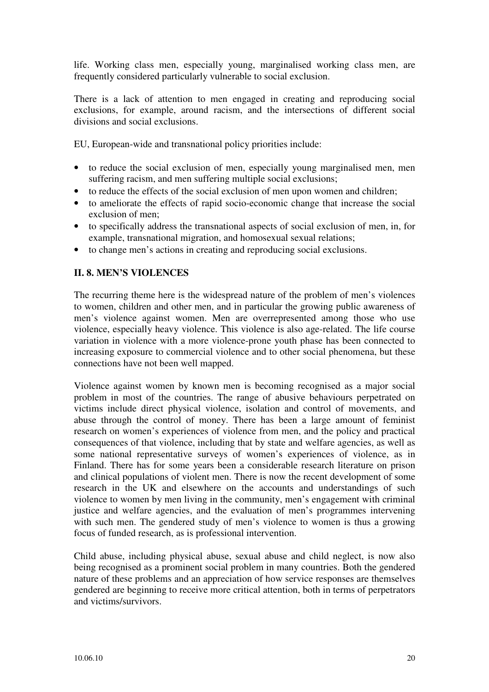life. Working class men, especially young, marginalised working class men, are frequently considered particularly vulnerable to social exclusion.

There is a lack of attention to men engaged in creating and reproducing social exclusions, for example, around racism, and the intersections of different social divisions and social exclusions.

EU, European-wide and transnational policy priorities include:

- to reduce the social exclusion of men, especially young marginalised men, men suffering racism, and men suffering multiple social exclusions;
- to reduce the effects of the social exclusion of men upon women and children;
- to ameliorate the effects of rapid socio-economic change that increase the social exclusion of men;
- to specifically address the transnational aspects of social exclusion of men, in, for example, transnational migration, and homosexual sexual relations;
- to change men's actions in creating and reproducing social exclusions.

#### **II. 8. MEN'S VIOLENCES**

The recurring theme here is the widespread nature of the problem of men's violences to women, children and other men, and in particular the growing public awareness of men's violence against women. Men are overrepresented among those who use violence, especially heavy violence. This violence is also age-related. The life course variation in violence with a more violence-prone youth phase has been connected to increasing exposure to commercial violence and to other social phenomena, but these connections have not been well mapped.

Violence against women by known men is becoming recognised as a major social problem in most of the countries. The range of abusive behaviours perpetrated on victims include direct physical violence, isolation and control of movements, and abuse through the control of money. There has been a large amount of feminist research on women's experiences of violence from men, and the policy and practical consequences of that violence, including that by state and welfare agencies, as well as some national representative surveys of women's experiences of violence, as in Finland. There has for some years been a considerable research literature on prison and clinical populations of violent men. There is now the recent development of some research in the UK and elsewhere on the accounts and understandings of such violence to women by men living in the community, men's engagement with criminal justice and welfare agencies, and the evaluation of men's programmes intervening with such men. The gendered study of men's violence to women is thus a growing focus of funded research, as is professional intervention.

Child abuse, including physical abuse, sexual abuse and child neglect, is now also being recognised as a prominent social problem in many countries. Both the gendered nature of these problems and an appreciation of how service responses are themselves gendered are beginning to receive more critical attention, both in terms of perpetrators and victims/survivors.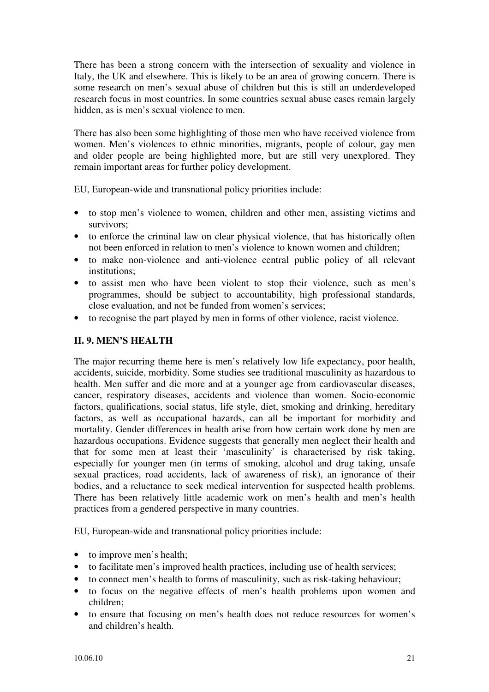There has been a strong concern with the intersection of sexuality and violence in Italy, the UK and elsewhere. This is likely to be an area of growing concern. There is some research on men's sexual abuse of children but this is still an underdeveloped research focus in most countries. In some countries sexual abuse cases remain largely hidden, as is men's sexual violence to men.

There has also been some highlighting of those men who have received violence from women. Men's violences to ethnic minorities, migrants, people of colour, gay men and older people are being highlighted more, but are still very unexplored. They remain important areas for further policy development.

EU, European-wide and transnational policy priorities include:

- to stop men's violence to women, children and other men, assisting victims and survivors;
- to enforce the criminal law on clear physical violence, that has historically often not been enforced in relation to men's violence to known women and children;
- to make non-violence and anti-violence central public policy of all relevant institutions;
- to assist men who have been violent to stop their violence, such as men's programmes, should be subject to accountability, high professional standards, close evaluation, and not be funded from women's services;
- to recognise the part played by men in forms of other violence, racist violence.

# **II. 9. MEN'S HEALTH**

The major recurring theme here is men's relatively low life expectancy, poor health, accidents, suicide, morbidity. Some studies see traditional masculinity as hazardous to health. Men suffer and die more and at a younger age from cardiovascular diseases, cancer, respiratory diseases, accidents and violence than women. Socio-economic factors, qualifications, social status, life style, diet, smoking and drinking, hereditary factors, as well as occupational hazards, can all be important for morbidity and mortality. Gender differences in health arise from how certain work done by men are hazardous occupations. Evidence suggests that generally men neglect their health and that for some men at least their 'masculinity' is characterised by risk taking, especially for younger men (in terms of smoking, alcohol and drug taking, unsafe sexual practices, road accidents, lack of awareness of risk), an ignorance of their bodies, and a reluctance to seek medical intervention for suspected health problems. There has been relatively little academic work on men's health and men's health practices from a gendered perspective in many countries.

EU, European-wide and transnational policy priorities include:

- to improve men's health;
- to facilitate men's improved health practices, including use of health services;
- to connect men's health to forms of masculinity, such as risk-taking behaviour;
- to focus on the negative effects of men's health problems upon women and children;
- to ensure that focusing on men's health does not reduce resources for women's and children's health.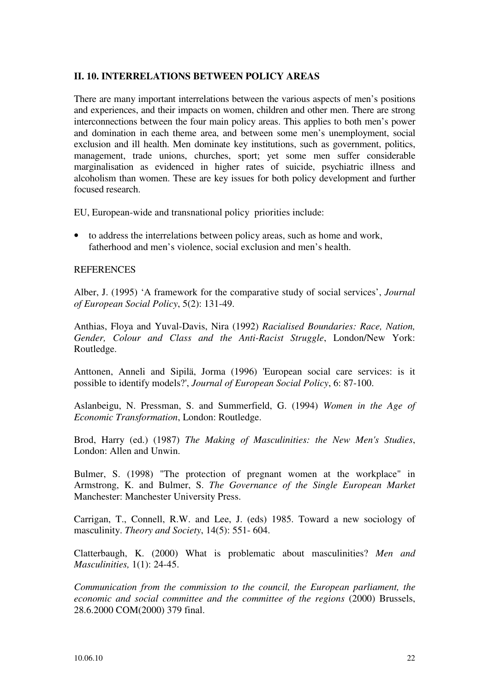#### **II. 10. INTERRELATIONS BETWEEN POLICY AREAS**

There are many important interrelations between the various aspects of men's positions and experiences, and their impacts on women, children and other men. There are strong interconnections between the four main policy areas. This applies to both men's power and domination in each theme area, and between some men's unemployment, social exclusion and ill health. Men dominate key institutions, such as government, politics, management, trade unions, churches, sport; yet some men suffer considerable marginalisation as evidenced in higher rates of suicide, psychiatric illness and alcoholism than women. These are key issues for both policy development and further focused research.

EU, European-wide and transnational policy priorities include:

• to address the interrelations between policy areas, such as home and work, fatherhood and men's violence, social exclusion and men's health.

#### **REFERENCES**

Alber, J. (1995) 'A framework for the comparative study of social services', *Journal of European Social Policy*, 5(2): 131-49.

Anthias, Floya and Yuval-Davis, Nira (1992) *Racialised Boundaries: Race, Nation, Gender, Colour and Class and the Anti-Racist Struggle*, London/New York: Routledge.

Anttonen, Anneli and Sipilä, Jorma (1996) 'European social care services: is it possible to identify models?', *Journal of European Social Policy*, 6: 87-100.

Aslanbeigu, N. Pressman, S. and Summerfield, G. (1994) *Women in the Age of Economic Transformation*, London: Routledge.

Brod, Harry (ed.) (1987) *The Making of Masculinities: the New Men's Studies*, London: Allen and Unwin.

Bulmer, S. (1998) "The protection of pregnant women at the workplace" in Armstrong, K. and Bulmer, S. *The Governance of the Single European Market* Manchester: Manchester University Press.

Carrigan, T., Connell, R.W. and Lee, J. (eds) 1985. Toward a new sociology of masculinity. *Theory and Society*, 14(5): 551- 604.

Clatterbaugh, K. (2000) What is problematic about masculinities? *Men and Masculinities,* 1(1): 24-45.

*Communication from the commission to the council, the European parliament, the economic and social committee and the committee of the regions* (2000) Brussels, 28.6.2000 COM(2000) 379 final.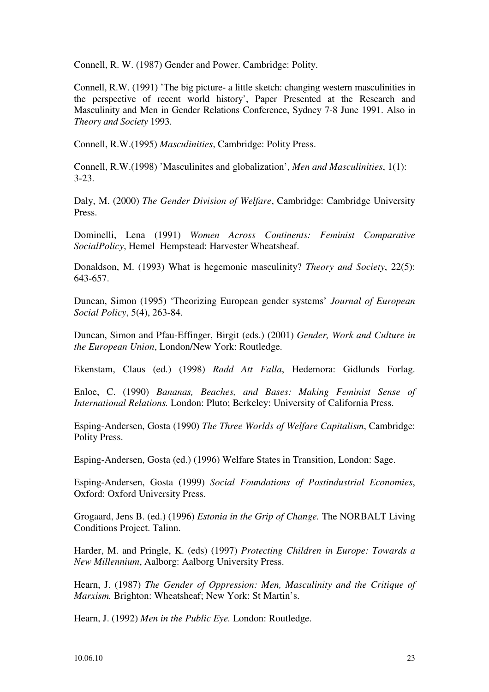Connell, R. W. (1987) Gender and Power. Cambridge: Polity.

Connell, R.W. (1991) 'The big picture- a little sketch: changing western masculinities in the perspective of recent world history', Paper Presented at the Research and Masculinity and Men in Gender Relations Conference, Sydney 7-8 June 1991. Also in *Theory and Society* 1993.

Connell, R.W.(1995) *Masculinities*, Cambridge: Polity Press.

Connell, R.W.(1998) 'Masculinites and globalization', *Men and Masculinities*, 1(1): 3-23.

Daly, M. (2000) *The Gender Division of Welfare*, Cambridge: Cambridge University Press.

Dominelli, Lena (1991) *Women Across Continents: Feminist Comparative SocialPolicy*, Hemel Hempstead: Harvester Wheatsheaf.

Donaldson, M. (1993) What is hegemonic masculinity? *Theory and Society*, 22(5): 643-657.

Duncan, Simon (1995) 'Theorizing European gender systems' *Journal of European Social Policy*, 5(4), 263-84.

Duncan, Simon and Pfau-Effinger, Birgit (eds.) (2001) *Gender, Work and Culture in the European Union*, London/New York: Routledge.

Ekenstam, Claus (ed.) (1998) *Radd Att Falla*, Hedemora: Gidlunds Forlag.

Enloe, C. (1990) *Bananas, Beaches, and Bases: Making Feminist Sense of International Relations.* London: Pluto; Berkeley: University of California Press.

Esping-Andersen, Gosta (1990) *The Three Worlds of Welfare Capitalism*, Cambridge: Polity Press.

Esping-Andersen, Gosta (ed.) (1996) Welfare States in Transition, London: Sage.

Esping-Andersen, Gosta (1999) *Social Foundations of Postindustrial Economies*, Oxford: Oxford University Press.

Grogaard, Jens B. (ed.) (1996) *Estonia in the Grip of Change.* The NORBALT Living Conditions Project. Talinn.

Harder, M. and Pringle, K. (eds) (1997) *Protecting Children in Europe: Towards a New Millennium*, Aalborg: Aalborg University Press.

Hearn, J. (1987) *The Gender of Oppression: Men, Masculinity and the Critique of Marxism.* Brighton: Wheatsheaf; New York: St Martin's.

Hearn, J. (1992) *Men in the Public Eye.* London: Routledge.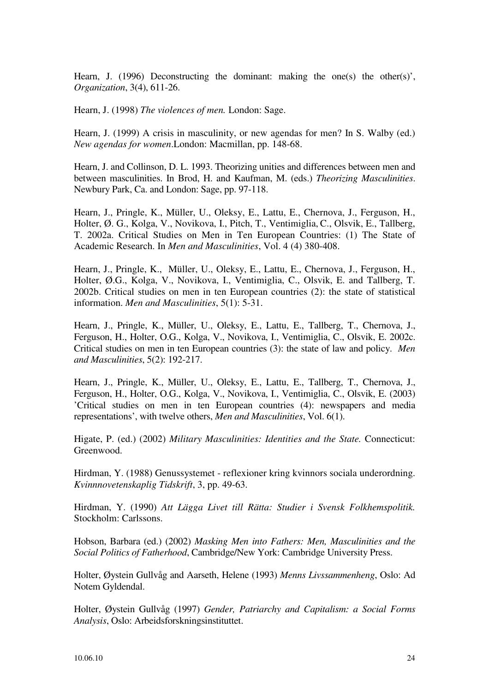Hearn, J. (1996) Deconstructing the dominant: making the one(s) the other(s)', *Organization*, 3(4), 611-26.

Hearn, J. (1998) *The violences of men.* London: Sage.

Hearn, J. (1999) A crisis in masculinity, or new agendas for men? In S. Walby (ed.) *New agendas for women*.London: Macmillan, pp. 148-68.

Hearn, J. and Collinson, D. L. 1993. Theorizing unities and differences between men and between masculinities. In Brod, H. and Kaufman, M. (eds.) *Theorizing Masculinities*. Newbury Park, Ca. and London: Sage, pp. 97-118.

Hearn, J., Pringle, K., Müller, U., Oleksy, E., Lattu, E., Chernova, J., Ferguson, H., Holter, Ø. G., Kolga, V., Novikova, I., Pitch, T., Ventimiglia, C., Olsvik, E., Tallberg, T. 2002a. Critical Studies on Men in Ten European Countries: (1) The State of Academic Research. In *Men and Masculinities*, Vol. 4 (4) 380-408.

Hearn, J., Pringle, K., Müller, U., Oleksy, E., Lattu, E., Chernova, J., Ferguson, H., Holter, Ø.G., Kolga, V., Novikova, I., Ventimiglia, C., Olsvik, E. and Tallberg, T. 2002b. Critical studies on men in ten European countries (2): the state of statistical information. *Men and Masculinities*, 5(1): 5-31.

Hearn, J., Pringle, K., Müller, U., Oleksy, E., Lattu, E., Tallberg, T., Chernova, J., Ferguson, H., Holter, O.G., Kolga, V., Novikova, I., Ventimiglia, C., Olsvik, E. 2002c. Critical studies on men in ten European countries (3): the state of law and policy. *Men and Masculinities*, 5(2): 192-217.

Hearn, J., Pringle, K., Müller, U., Oleksy, E., Lattu, E., Tallberg, T., Chernova, J., Ferguson, H., Holter, O.G., Kolga, V., Novikova, I., Ventimiglia, C., Olsvik, E. (2003) 'Critical studies on men in ten European countries (4): newspapers and media representations', with twelve others, *Men and Masculinities*, Vol. 6(1).

Higate, P. (ed.) (2002) *Military Masculinities: Identities and the State.* Connecticut: Greenwood.

Hirdman, Y. (1988) Genussystemet - reflexioner kring kvinnors sociala underordning. *Kvinnnovetenskaplig Tidskrift*, 3, pp. 49-63.

Hirdman, Y. (1990) *Att Lägga Livet till Rätta: Studier i Svensk Folkhemspolitik.* Stockholm: Carlssons.

Hobson, Barbara (ed.) (2002) *Masking Men into Fathers: Men, Masculinities and the Social Politics of Fatherhood*, Cambridge/New York: Cambridge University Press.

Holter, Øystein Gullvåg and Aarseth, Helene (1993) *Menns Livssammenheng*, Oslo: Ad Notem Gyldendal.

Holter, Øystein Gullvåg (1997) *Gender, Patriarchy and Capitalism: a Social Forms Analysis*, Oslo: Arbeidsforskningsinstituttet.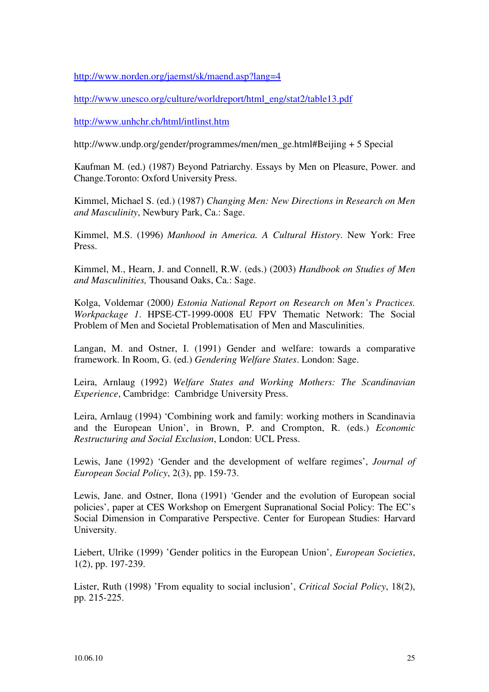http://www.norden.org/jaemst/sk/maend.asp?lang=4

http://www.unesco.org/culture/worldreport/html\_eng/stat2/table13.pdf

http://www.unhchr.ch/html/intlinst.htm

http://www.undp.org/gender/programmes/men/men\_ge.html#Beijing + 5 Special

Kaufman M. (ed.) (1987) Beyond Patriarchy. Essays by Men on Pleasure, Power. and Change.Toronto: Oxford University Press.

Kimmel, Michael S. (ed.) (1987) *Changing Men: New Directions in Research on Men and Masculinity*, Newbury Park, Ca.: Sage.

Kimmel, M.S. (1996) *Manhood in America. A Cultural History*. New York: Free Press.

Kimmel, M., Hearn, J. and Connell, R.W. (eds.) (2003) *Handbook on Studies of Men and Masculinities,* Thousand Oaks, Ca.: Sage.

Kolga, Voldemar (2000*) Estonia National Report on Research on Men's Practices. Workpackage 1*. HPSE-CT-1999-0008 EU FPV Thematic Network: The Social Problem of Men and Societal Problematisation of Men and Masculinities.

Langan, M. and Ostner, I. (1991) Gender and welfare: towards a comparative framework. In Room, G. (ed.) *Gendering Welfare States*. London: Sage.

Leira, Arnlaug (1992) *Welfare States and Working Mothers: The Scandinavian Experience*, Cambridge: Cambridge University Press.

Leira, Arnlaug (1994) 'Combining work and family: working mothers in Scandinavia and the European Union', in Brown, P. and Crompton, R. (eds.) *Economic Restructuring and Social Exclusion*, London: UCL Press.

Lewis, Jane (1992) 'Gender and the development of welfare regimes', *Journal of European Social Policy*, 2(3), pp. 159-73.

Lewis, Jane. and Ostner, Ilona (1991) 'Gender and the evolution of European social policies', paper at CES Workshop on Emergent Supranational Social Policy: The EC's Social Dimension in Comparative Perspective. Center for European Studies: Harvard University.

Liebert, Ulrike (1999) 'Gender politics in the European Union', *European Societies*, 1(2), pp. 197-239.

Lister, Ruth (1998) 'From equality to social inclusion', *Critical Social Policy*, 18(2), pp. 215-225.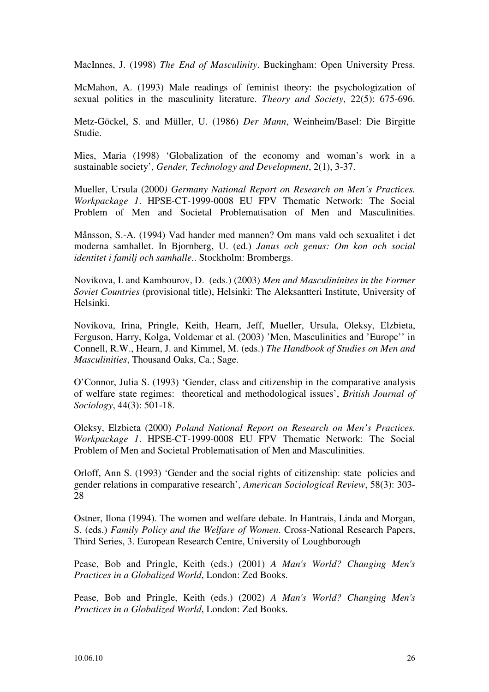MacInnes, J. (1998) *The End of Masculinity*. Buckingham: Open University Press.

McMahon, A. (1993) Male readings of feminist theory: the psychologization of sexual politics in the masculinity literature. *Theory and Society*, 22(5): 675-696.

Metz-Göckel, S. and Müller, U. (1986) *Der Mann*, Weinheim/Basel: Die Birgitte Studie.

Mies, Maria (1998) 'Globalization of the economy and woman's work in a sustainable society', *Gender, Technology and Development*, 2(1), 3-37.

Mueller, Ursula (2000*) Germany National Report on Research on Men's Practices. Workpackage 1*. HPSE-CT-1999-0008 EU FPV Thematic Network: The Social Problem of Men and Societal Problematisation of Men and Masculinities.

Månsson, S.-A. (1994) Vad hander med mannen? Om mans vald och sexualitet i det moderna samhallet. In Bjornberg, U. (ed.) *Janus och genus: Om kon och social identitet i familj och samhalle.*. Stockholm: Brombergs.

Novikova, I. and Kambourov, D. (eds.) (2003) *Men and Masculinínites in the Former Soviet Countries* (provisional title), Helsinki: The Aleksantteri Institute, University of Helsinki.

Novikova, Irina, Pringle, Keith, Hearn, Jeff, Mueller, Ursula, Oleksy, Elzbieta, Ferguson, Harry, Kolga, Voldemar et al. (2003) 'Men, Masculinities and 'Europe'' in Connell, R.W., Hearn, J. and Kimmel, M. (eds.) *The Handbook of Studies on Men and Masculinities*, Thousand Oaks, Ca.; Sage.

O'Connor, Julia S. (1993) 'Gender, class and citizenship in the comparative analysis of welfare state regimes: theoretical and methodological issues', *British Journal of Sociology*, 44(3): 501-18.

Oleksy, Elzbieta (2000) *Poland National Report on Research on Men's Practices. Workpackage 1*. HPSE-CT-1999-0008 EU FPV Thematic Network: The Social Problem of Men and Societal Problematisation of Men and Masculinities.

Orloff, Ann S. (1993) 'Gender and the social rights of citizenship: state policies and gender relations in comparative research', *American Sociological Review*, 58(3): 303- 28

Ostner, Ilona (1994). The women and welfare debate. In Hantrais, Linda and Morgan, S. (eds.) *Family Policy and the Welfare of Women*. Cross-National Research Papers, Third Series, 3. European Research Centre, University of Loughborough

Pease, Bob and Pringle, Keith (eds.) (2001) *A Man's World? Changing Men's Practices in a Globalized World*, London: Zed Books.

Pease, Bob and Pringle, Keith (eds.) (2002) *A Man's World? Changing Men's Practices in a Globalized World*, London: Zed Books.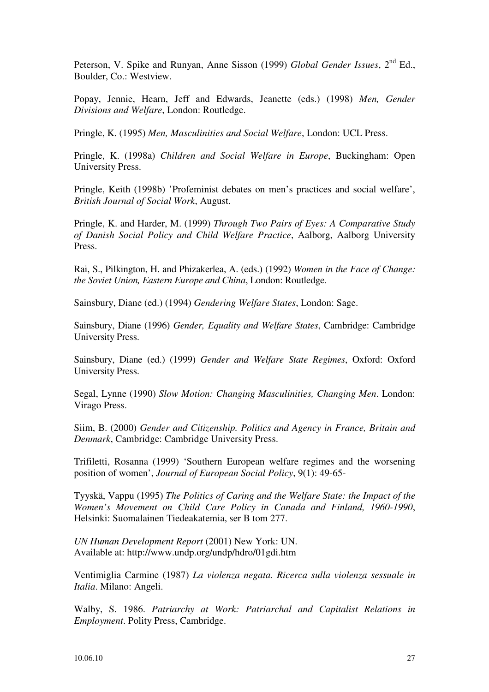Peterson, V. Spike and Runyan, Anne Sisson (1999) *Global Gender Issues*, 2<sup>nd</sup> Ed., Boulder, Co.: Westview.

Popay, Jennie, Hearn, Jeff and Edwards, Jeanette (eds.) (1998) *Men, Gender Divisions and Welfare*, London: Routledge.

Pringle, K. (1995) *Men, Masculinities and Social Welfare*, London: UCL Press.

Pringle, K. (1998a) *Children and Social Welfare in Europe*, Buckingham: Open University Press.

Pringle, Keith (1998b) 'Profeminist debates on men's practices and social welfare', *British Journal of Social Work*, August.

Pringle, K. and Harder, M. (1999) *Through Two Pairs of Eyes: A Comparative Study of Danish Social Policy and Child Welfare Practice*, Aalborg, Aalborg University Press.

Rai, S., Pilkington, H. and Phizakerlea, A. (eds.) (1992) *Women in the Face of Change: the Soviet Union, Eastern Europe and China*, London: Routledge.

Sainsbury, Diane (ed.) (1994) *Gendering Welfare States*, London: Sage.

Sainsbury, Diane (1996) *Gender, Equality and Welfare States*, Cambridge: Cambridge University Press.

Sainsbury, Diane (ed.) (1999) *Gender and Welfare State Regimes*, Oxford: Oxford University Press.

Segal, Lynne (1990) *Slow Motion: Changing Masculinities, Changing Men*. London: Virago Press.

Siim, B. (2000) *Gender and Citizenship. Politics and Agency in France, Britain and Denmark*, Cambridge: Cambridge University Press.

Trifiletti, Rosanna (1999) 'Southern European welfare regimes and the worsening position of women', *Journal of European Social Policy*, 9(1): 49-65-

Tyyskä, Vappu (1995) *The Politics of Caring and the Welfare State: the Impact of the Women's Movement on Child Care Policy in Canada and Finland, 1960-1990*, Helsinki: Suomalainen Tiedeakatemia, ser B tom 277.

*UN Human Development Report* (2001) New York: UN. Available at: http://www.undp.org/undp/hdro/01gdi.htm

Ventimiglia Carmine (1987) *La violenza negata. Ricerca sulla violenza sessuale in Italia*. Milano: Angeli.

Walby, S. 1986. *Patriarchy at Work: Patriarchal and Capitalist Relations in Employment*. Polity Press, Cambridge.